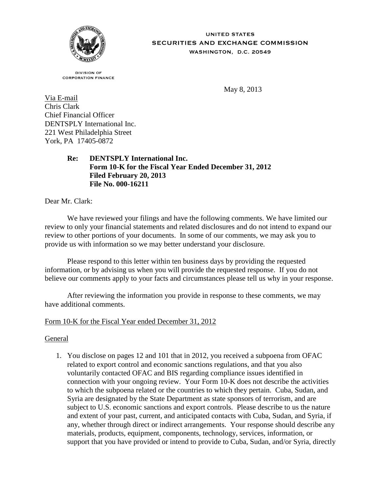

**UNITED STATES SECURITIES AND EXCHANGE COMMISSION** WASHINGTON, D.C. 20549

**DIVISION OF CORPORATION FINANCE** 

May 8, 2013

Via E-mail Chris Clark Chief Financial Officer DENTSPLY International Inc. 221 West Philadelphia Street York, PA 17405-0872

> **Re: DENTSPLY International Inc. Form 10-K for the Fiscal Year Ended December 31, 2012 Filed February 20, 2013 File No. 000-16211**

Dear Mr. Clark:

We have reviewed your filings and have the following comments. We have limited our review to only your financial statements and related disclosures and do not intend to expand our review to other portions of your documents. In some of our comments, we may ask you to provide us with information so we may better understand your disclosure.

Please respond to this letter within ten business days by providing the requested information, or by advising us when you will provide the requested response. If you do not believe our comments apply to your facts and circumstances please tell us why in your response.

After reviewing the information you provide in response to these comments, we may have additional comments.

## Form 10-K for the Fiscal Year ended December 31, 2012

#### General

1. You disclose on pages 12 and 101 that in 2012, you received a subpoena from OFAC related to export control and economic sanctions regulations, and that you also voluntarily contacted OFAC and BIS regarding compliance issues identified in connection with your ongoing review. Your Form 10-K does not describe the activities to which the subpoena related or the countries to which they pertain. Cuba, Sudan, and Syria are designated by the State Department as state sponsors of terrorism, and are subject to U.S. economic sanctions and export controls. Please describe to us the nature and extent of your past, current, and anticipated contacts with Cuba, Sudan, and Syria, if any, whether through direct or indirect arrangements. Your response should describe any materials, products, equipment, components, technology, services, information, or support that you have provided or intend to provide to Cuba, Sudan, and/or Syria, directly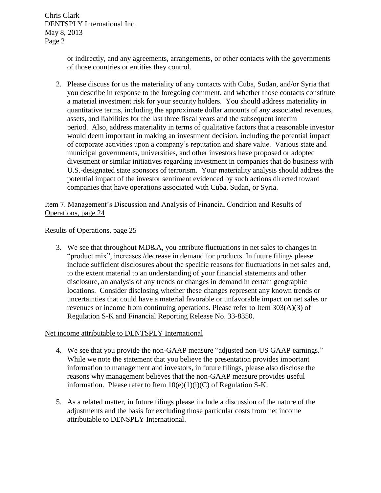Chris Clark DENTSPLY International Inc. May 8, 2013 Page 2

> or indirectly, and any agreements, arrangements, or other contacts with the governments of those countries or entities they control.

2. Please discuss for us the materiality of any contacts with Cuba, Sudan, and/or Syria that you describe in response to the foregoing comment, and whether those contacts constitute a material investment risk for your security holders. You should address materiality in quantitative terms, including the approximate dollar amounts of any associated revenues, assets, and liabilities for the last three fiscal years and the subsequent interim period. Also, address materiality in terms of qualitative factors that a reasonable investor would deem important in making an investment decision, including the potential impact of corporate activities upon a company's reputation and share value. Various state and municipal governments, universities, and other investors have proposed or adopted divestment or similar initiatives regarding investment in companies that do business with U.S.-designated state sponsors of terrorism. Your materiality analysis should address the potential impact of the investor sentiment evidenced by such actions directed toward companies that have operations associated with Cuba, Sudan, or Syria.

# Item 7. Management's Discussion and Analysis of Financial Condition and Results of Operations, page 24

## Results of Operations, page 25

3. We see that throughout MD&A, you attribute fluctuations in net sales to changes in "product mix", increases /decrease in demand for products. In future filings please include sufficient disclosures about the specific reasons for fluctuations in net sales and, to the extent material to an understanding of your financial statements and other disclosure, an analysis of any trends or changes in demand in certain geographic locations. Consider disclosing whether these changes represent any known trends or uncertainties that could have a material favorable or unfavorable impact on net sales or revenues or income from continuing operations. Please refer to Item 303(A)(3) of Regulation S-K and Financial Reporting Release No. 33-8350.

#### Net income attributable to DENTSPLY International

- 4. We see that you provide the non-GAAP measure "adjusted non-US GAAP earnings." While we note the statement that you believe the presentation provides important information to management and investors, in future filings, please also disclose the reasons why management believes that the non-GAAP measure provides useful information. Please refer to Item  $10(e)(1)(i)(C)$  of Regulation S-K.
- 5. As a related matter, in future filings please include a discussion of the nature of the adjustments and the basis for excluding those particular costs from net income attributable to DENSPLY International.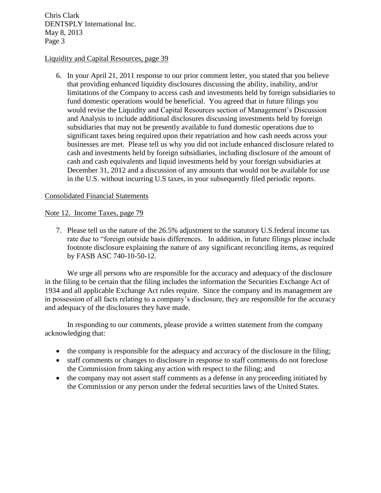Chris Clark DENTSPLY International Inc. May 8, 2013 Page 3

#### Liquidity and Capital Resources, page 39

6. In your April 21, 2011 response to our prior comment letter, you stated that you believe that providing enhanced liquidity disclosures discussing the ability, inability, and/or limitations of the Company to access cash and investments held by foreign subsidiaries to fund domestic operations would be beneficial. You agreed that in future filings you would revise the Liquidity and Capital Resources section of Management's Discussion and Analysis to include additional disclosures discussing investments held by foreign subsidiaries that may not be presently available to fund domestic operations due to significant taxes being required upon their repatriation and how cash needs across your businesses are met. Please tell us why you did not include enhanced disclosure related to cash and investments held by foreign subsidiaries, including disclosure of the amount of cash and cash equivalents and liquid investments held by your foreign subsidiaries at December 31, 2012 and a discussion of any amounts that would not be available for use in the U.S. without incurring U.S taxes, in your subsequently filed periodic reports.

#### Consolidated Financial Statements

## Note 12. Income Taxes, page 79

7. Please tell us the nature of the 26.5% adjustment to the statutory U.S.federal income tax rate due to "foreign outside basis differences. In addition, in future filings please include footnote disclosure explaining the nature of any significant reconciling items, as required by FASB ASC 740-10-50-12.

We urge all persons who are responsible for the accuracy and adequacy of the disclosure in the filing to be certain that the filing includes the information the Securities Exchange Act of 1934 and all applicable Exchange Act rules require. Since the company and its management are in possession of all facts relating to a company's disclosure, they are responsible for the accuracy and adequacy of the disclosures they have made.

In responding to our comments, please provide a written statement from the company acknowledging that:

- the company is responsible for the adequacy and accuracy of the disclosure in the filing;
- staff comments or changes to disclosure in response to staff comments do not foreclose the Commission from taking any action with respect to the filing; and
- the company may not assert staff comments as a defense in any proceeding initiated by the Commission or any person under the federal securities laws of the United States.